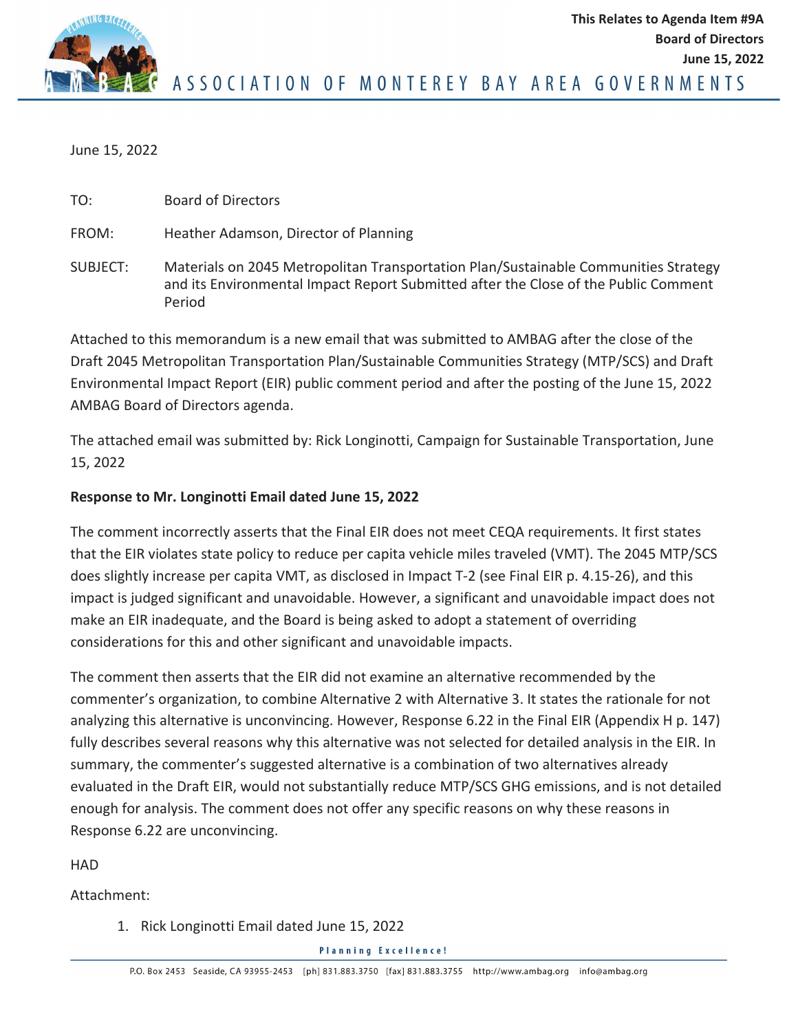

ASSOCIATION OF MONTEREY BAY AREA GOVERNMENTS

June 15, 2022

TO: Board of Directors

FROM: Heather Adamson, Director of Planning

SUBJECT: Materials on 2045 Metropolitan Transportation Plan/Sustainable Communities Strategy and its Environmental Impact Report Submitted after the Close of the Public Comment Period

Attached to this memorandum is a new email that was submitted to AMBAG after the close of the Draft 2045 Metropolitan Transportation Plan/Sustainable Communities Strategy (MTP/SCS) and Draft Environmental Impact Report (EIR) public comment period and after the posting of the June 15, 2022 AMBAG Board of Directors agenda.

The attached email was submitted by: Rick Longinotti, Campaign for Sustainable Transportation, June 15, 2022

## **Response to Mr. Longinotti Email dated June 15, 2022**

The comment incorrectly asserts that the Final EIR does not meet CEQA requirements. It first states that the EIR violates state policy to reduce per capita vehicle miles traveled (VMT). The 2045 MTP/SCS does slightly increase per capita VMT, as disclosed in Impact T-2 (see Final EIR p. 4.15-26), and this impact is judged significant and unavoidable. However, a significant and unavoidable impact does not make an EIR inadequate, and the Board is being asked to adopt a statement of overriding considerations for this and other significant and unavoidable impacts.

The comment then asserts that the EIR did not examine an alternative recommended by the commenter's organization, to combine Alternative 2 with Alternative 3. It states the rationale for not analyzing this alternative is unconvincing. However, Response 6.22 in the Final EIR (Appendix H p. 147) fully describes several reasons why this alternative was not selected for detailed analysis in the EIR. In summary, the commenter's suggested alternative is a combination of two alternatives already evaluated in the Draft EIR, would not substantially reduce MTP/SCS GHG emissions, and is not detailed enough for analysis. The comment does not offer any specific reasons on why these reasons in Response 6.22 are unconvincing.

HAD

Attachment:

1. Rick Longinotti Email dated June 15, 2022

**Planning Excellence!**